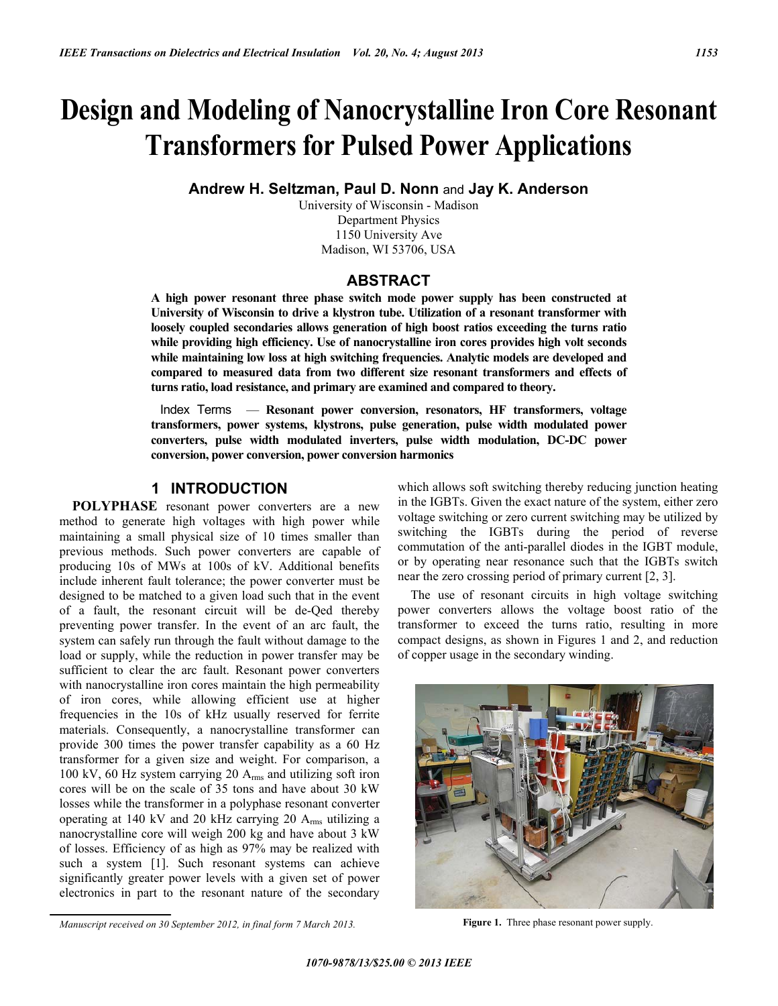# **Design and Modeling of Nanocrystalline Iron Core Resonant Transformers for Pulsed Power Applications**

**Andrew H. Seltzman, Paul D. Nonn** and **Jay K. Anderson** 

University of Wisconsin - Madison Department Physics 1150 University Ave Madison, WI 53706, USA

## **ABSTRACT**

**A high power resonant three phase switch mode power supply has been constructed at University of Wisconsin to drive a klystron tube. Utilization of a resonant transformer with loosely coupled secondaries allows generation of high boost ratios exceeding the turns ratio while providing high efficiency. Use of nanocrystalline iron cores provides high volt seconds while maintaining low loss at high switching frequencies. Analytic models are developed and compared to measured data from two different size resonant transformers and effects of turns ratio, load resistance, and primary are examined and compared to theory.** 

 Index Terms — **Resonant power conversion, resonators, HF transformers, voltage transformers, power systems, klystrons, pulse generation, pulse width modulated power converters, pulse width modulated inverters, pulse width modulation, DC-DC power conversion, power conversion, power conversion harmonics**

# **1 INTRODUCTION**

**POLYPHASE** resonant power converters are a new method to generate high voltages with high power while maintaining a small physical size of 10 times smaller than previous methods. Such power converters are capable of producing 10s of MWs at 100s of kV. Additional benefits include inherent fault tolerance; the power converter must be designed to be matched to a given load such that in the event of a fault, the resonant circuit will be de-Qed thereby preventing power transfer. In the event of an arc fault, the system can safely run through the fault without damage to the load or supply, while the reduction in power transfer may be sufficient to clear the arc fault. Resonant power converters with nanocrystalline iron cores maintain the high permeability of iron cores, while allowing efficient use at higher frequencies in the 10s of kHz usually reserved for ferrite materials. Consequently, a nanocrystalline transformer can provide 300 times the power transfer capability as a 60 Hz transformer for a given size and weight. For comparison, a 100 kV, 60 Hz system carrying 20 Arms and utilizing soft iron cores will be on the scale of 35 tons and have about 30 kW losses while the transformer in a polyphase resonant converter operating at 140 kV and 20 kHz carrying 20 Arms utilizing a nanocrystalline core will weigh 200 kg and have about 3 kW of losses. Efficiency of as high as 97% may be realized with such a system [1]. Such resonant systems can achieve significantly greater power levels with a given set of power electronics in part to the resonant nature of the secondary which allows soft switching thereby reducing junction heating in the IGBTs. Given the exact nature of the system, either zero voltage switching or zero current switching may be utilized by switching the IGBTs during the period of reverse commutation of the anti-parallel diodes in the IGBT module, or by operating near resonance such that the IGBTs switch near the zero crossing period of primary current [2, 3].

The use of resonant circuits in high voltage switching power converters allows the voltage boost ratio of the transformer to exceed the turns ratio, resulting in more compact designs, as shown in Figures 1 and 2, and reduction of copper usage in the secondary winding.



*Manuscript received on 30 September 2012, in final form 7 March 2013.* **Figure 1.** Three phase resonant power supply.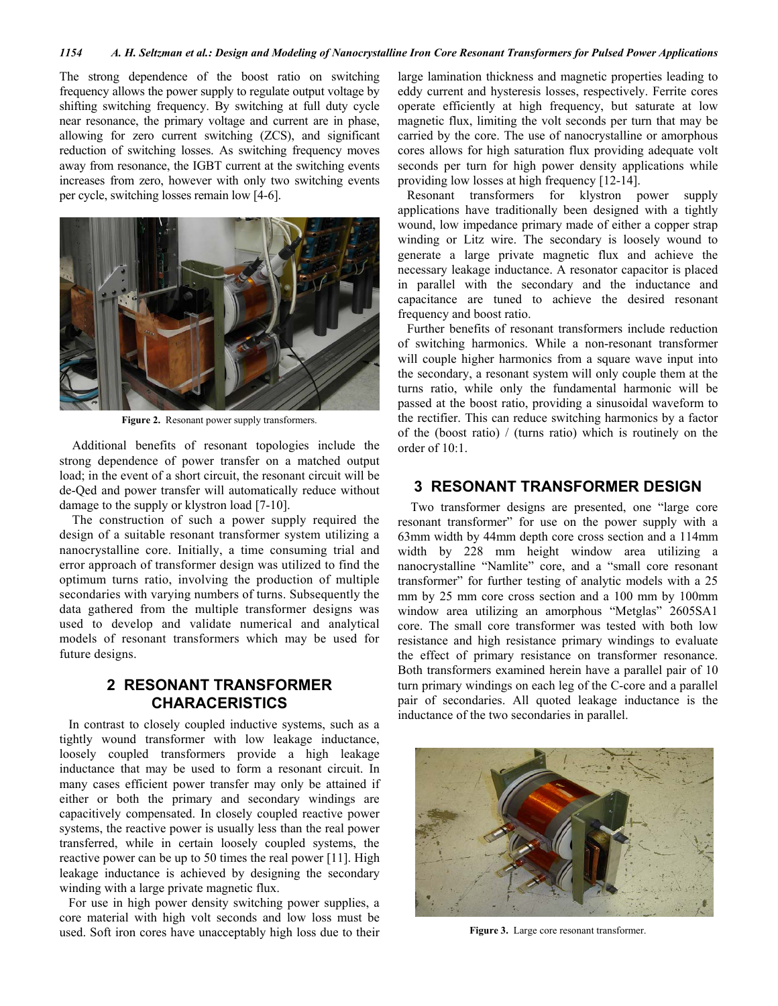The strong dependence of the boost ratio on switching frequency allows the power supply to regulate output voltage by shifting switching frequency. By switching at full duty cycle near resonance, the primary voltage and current are in phase, allowing for zero current switching (ZCS), and significant reduction of switching losses. As switching frequency moves away from resonance, the IGBT current at the switching events increases from zero, however with only two switching events per cycle, switching losses remain low [4-6].



**Figure 2.** Resonant power supply transformers.

Additional benefits of resonant topologies include the strong dependence of power transfer on a matched output load; in the event of a short circuit, the resonant circuit will be de-Qed and power transfer will automatically reduce without damage to the supply or klystron load [7-10].

The construction of such a power supply required the design of a suitable resonant transformer system utilizing a nanocrystalline core. Initially, a time consuming trial and error approach of transformer design was utilized to find the optimum turns ratio, involving the production of multiple secondaries with varying numbers of turns. Subsequently the data gathered from the multiple transformer designs was used to develop and validate numerical and analytical models of resonant transformers which may be used for future designs.

# **2 RESONANT TRANSFORMER CHARACERISTICS**

In contrast to closely coupled inductive systems, such as a tightly wound transformer with low leakage inductance, loosely coupled transformers provide a high leakage inductance that may be used to form a resonant circuit. In many cases efficient power transfer may only be attained if either or both the primary and secondary windings are capacitively compensated. In closely coupled reactive power systems, the reactive power is usually less than the real power transferred, while in certain loosely coupled systems, the reactive power can be up to 50 times the real power [11]. High leakage inductance is achieved by designing the secondary winding with a large private magnetic flux.

For use in high power density switching power supplies, a core material with high volt seconds and low loss must be used. Soft iron cores have unacceptably high loss due to their large lamination thickness and magnetic properties leading to eddy current and hysteresis losses, respectively. Ferrite cores operate efficiently at high frequency, but saturate at low magnetic flux, limiting the volt seconds per turn that may be carried by the core. The use of nanocrystalline or amorphous cores allows for high saturation flux providing adequate volt seconds per turn for high power density applications while providing low losses at high frequency [12-14].

Resonant transformers for klystron power supply applications have traditionally been designed with a tightly wound, low impedance primary made of either a copper strap winding or Litz wire. The secondary is loosely wound to generate a large private magnetic flux and achieve the necessary leakage inductance. A resonator capacitor is placed in parallel with the secondary and the inductance and capacitance are tuned to achieve the desired resonant frequency and boost ratio.

Further benefits of resonant transformers include reduction of switching harmonics. While a non-resonant transformer will couple higher harmonics from a square wave input into the secondary, a resonant system will only couple them at the turns ratio, while only the fundamental harmonic will be passed at the boost ratio, providing a sinusoidal waveform to the rectifier. This can reduce switching harmonics by a factor of the (boost ratio) / (turns ratio) which is routinely on the order of 10:1.

### **3 RESONANT TRANSFORMER DESIGN**

Two transformer designs are presented, one "large core resonant transformer" for use on the power supply with a 63mm width by 44mm depth core cross section and a 114mm width by 228 mm height window area utilizing a nanocrystalline "Namlite" core, and a "small core resonant transformer" for further testing of analytic models with a 25 mm by 25 mm core cross section and a 100 mm by 100mm window area utilizing an amorphous "Metglas" 2605SA1 core. The small core transformer was tested with both low resistance and high resistance primary windings to evaluate the effect of primary resistance on transformer resonance. Both transformers examined herein have a parallel pair of 10 turn primary windings on each leg of the C-core and a parallel pair of secondaries. All quoted leakage inductance is the inductance of the two secondaries in parallel.



**Figure 3.** Large core resonant transformer.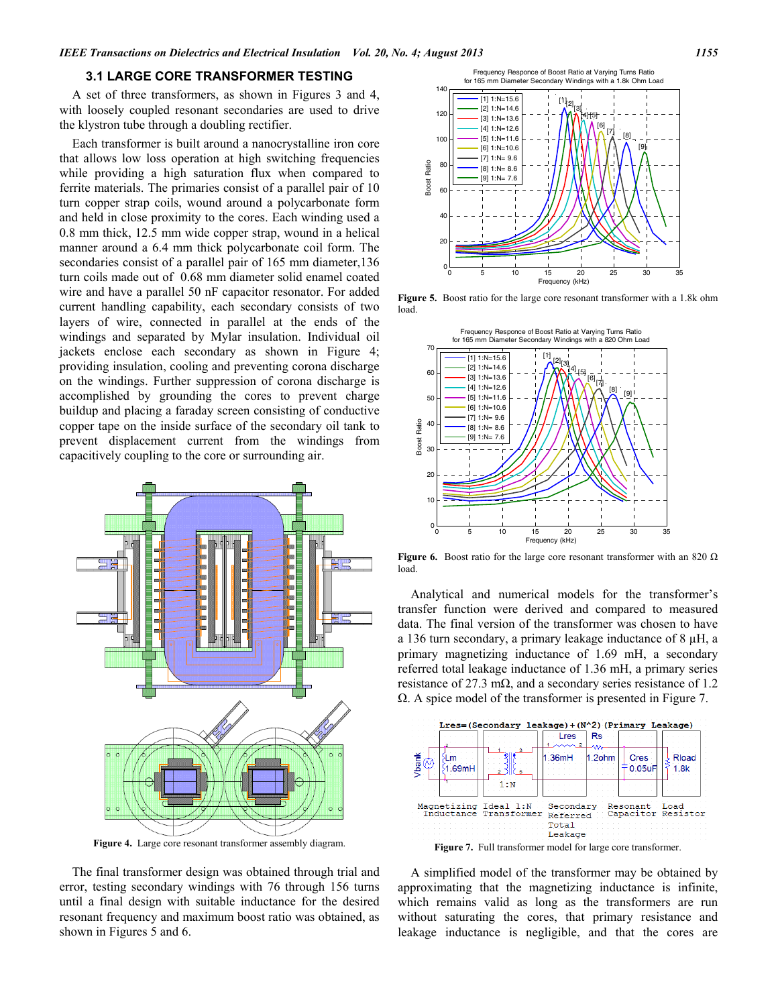#### **3.1 LARGE CORE TRANSFORMER TESTING**

A set of three transformers, as shown in Figures 3 and 4, with loosely coupled resonant secondaries are used to drive the klystron tube through a doubling rectifier.

Each transformer is built around a nanocrystalline iron core that allows low loss operation at high switching frequencies while providing a high saturation flux when compared to ferrite materials. The primaries consist of a parallel pair of 10 turn copper strap coils, wound around a polycarbonate form and held in close proximity to the cores. Each winding used a 0.8 mm thick, 12.5 mm wide copper strap, wound in a helical manner around a 6.4 mm thick polycarbonate coil form. The secondaries consist of a parallel pair of 165 mm diameter, 136 turn coils made out of 0.68 mm diameter solid enamel coated wire and have a parallel 50 nF capacitor resonator. For added current handling capability, each secondary consists of two layers of wire, connected in parallel at the ends of the windings and separated by Mylar insulation. Individual oil jackets enclose each secondary as shown in Figure 4; providing insulation, cooling and preventing corona discharge on the windings. Further suppression of corona discharge is accomplished by grounding the cores to prevent charge buildup and placing a faraday screen consisting of conductive copper tape on the inside surface of the secondary oil tank to prevent displacement current from the windings from capacitively coupling to the core or surrounding air.



**Figure 4.** Large core resonant transformer assembly diagram.

The final transformer design was obtained through trial and error, testing secondary windings with 76 through 156 turns until a final design with suitable inductance for the desired resonant frequency and maximum boost ratio was obtained, as shown in Figures 5 and 6.



**Figure 5.** Boost ratio for the large core resonant transformer with a 1.8k ohm load.



**Figure 6.** Boost ratio for the large core resonant transformer with an 820  $\Omega$ load.

Analytical and numerical models for the transformer's transfer function were derived and compared to measured data. The final version of the transformer was chosen to have a 136 turn secondary, a primary leakage inductance of 8 µH, a primary magnetizing inductance of 1.69 mH, a secondary referred total leakage inductance of 1.36 mH, a primary series resistance of 27.3 m $\Omega$ , and a secondary series resistance of 1.2  $\Omega$ . A spice model of the transformer is presented in Figure 7.



A simplified model of the transformer may be obtained by approximating that the magnetizing inductance is infinite, which remains valid as long as the transformers are run without saturating the cores, that primary resistance and leakage inductance is negligible, and that the cores are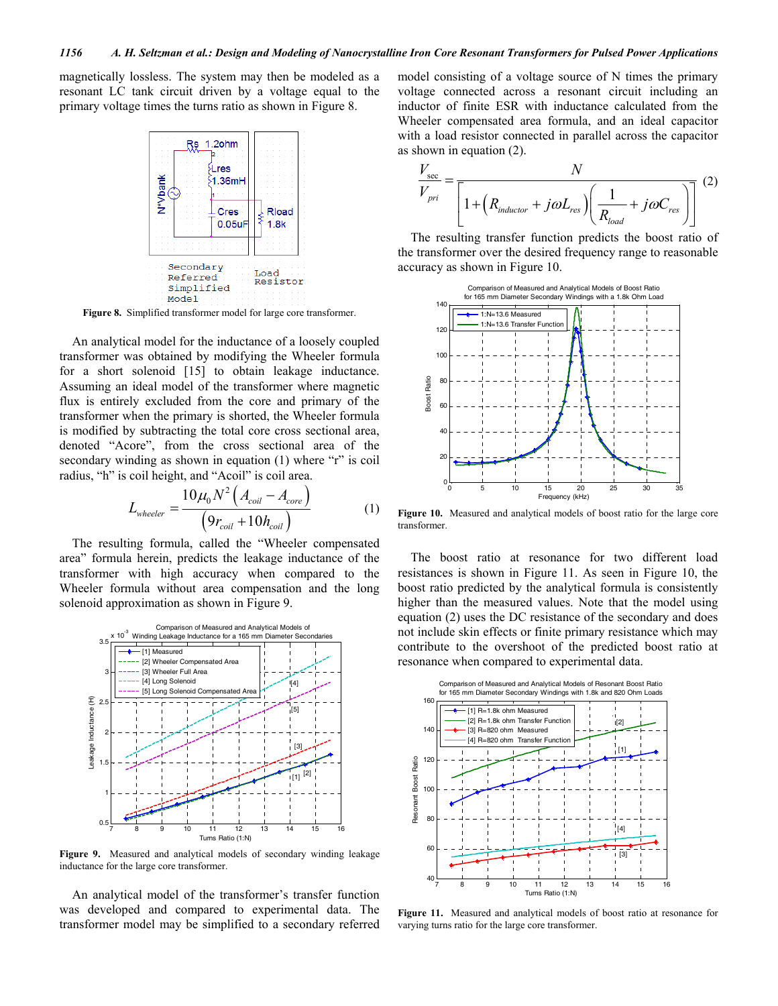magnetically lossless. The system may then be modeled as a resonant LC tank circuit driven by a voltage equal to the primary voltage times the turns ratio as shown in Figure 8.



**Figure 8.** Simplified transformer model for large core transformer.

An analytical model for the inductance of a loosely coupled transformer was obtained by modifying the Wheeler formula for a short solenoid [15] to obtain leakage inductance. Assuming an ideal model of the transformer where magnetic flux is entirely excluded from the core and primary of the transformer when the primary is shorted, the Wheeler formula is modified by subtracting the total core cross sectional area, denoted "Acore", from the cross sectional area of the secondary winding as shown in equation (1) where "r" is coil radius, "h" is coil height, and "Acoil" is coil area.

$$
L_{wheeler} = \frac{10\mu_0 N^2 \left( A_{coil} - A_{core} \right)}{\left( 9r_{coil} + 10h_{coil} \right)}
$$
(1)

The resulting formula, called the "Wheeler compensated area" formula herein, predicts the leakage inductance of the transformer with high accuracy when compared to the Wheeler formula without area compensation and the long solenoid approximation as shown in Figure 9.



**Figure 9.** Measured and analytical models of secondary winding leakage inductance for the large core transformer.

An analytical model of the transformer's transfer function was developed and compared to experimental data. The transformer model may be simplified to a secondary referred model consisting of a voltage source of N times the primary voltage connected across a resonant circuit including an inductor of finite ESR with inductance calculated from the Wheeler compensated area formula, and an ideal capacitor with a load resistor connected in parallel across the capacitor as shown in equation (2).

$$
\frac{V_{\text{sec}}}{V_{\text{pri}}} = \frac{N}{\left[1 + \left(R_{\text{inductor}} + j\omega L_{\text{res}}\right)\left(\frac{1}{R_{\text{load}}} + j\omega C_{\text{res}}\right)\right]} \tag{2}
$$

The resulting transfer function predicts the boost ratio of the transformer over the desired frequency range to reasonable accuracy as shown in Figure 10.



**Figure 10.** Measured and analytical models of boost ratio for the large core transformer.

The boost ratio at resonance for two different load resistances is shown in Figure 11. As seen in Figure 10, the boost ratio predicted by the analytical formula is consistently higher than the measured values. Note that the model using equation (2) uses the DC resistance of the secondary and does not include skin effects or finite primary resistance which may contribute to the overshoot of the predicted boost ratio at resonance when compared to experimental data.



**Figure 11.** Measured and analytical models of boost ratio at resonance for varying turns ratio for the large core transformer.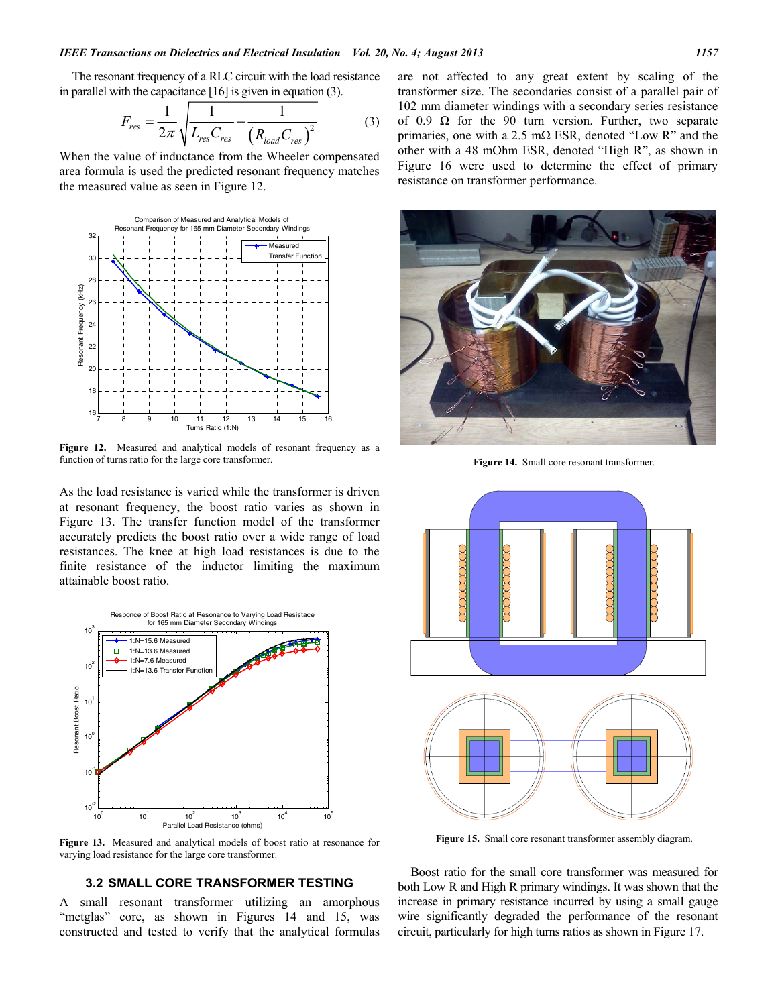The resonant frequency of a RLC circuit with the load resistance in parallel with the capacitance [16] is given in equation (3).

$$
F_{res} = \frac{1}{2\pi} \sqrt{\frac{1}{L_{res}C_{res}} - \frac{1}{(R_{load}C_{res})^2}}
$$
(3)

When the value of inductance from the Wheeler compensated area formula is used the predicted resonant frequency matches the measured value as seen in Figure 12.



**Figure 12.** Measured and analytical models of resonant frequency as a function of turns ratio for the large core transformer.

As the load resistance is varied while the transformer is driven at resonant frequency, the boost ratio varies as shown in Figure 13. The transfer function model of the transformer accurately predicts the boost ratio over a wide range of load resistances. The knee at high load resistances is due to the finite resistance of the inductor limiting the maximum attainable boost ratio.



**Figure 13.** Measured and analytical models of boost ratio at resonance for varying load resistance for the large core transformer.

#### **3.2 SMALL CORE TRANSFORMER TESTING**

A small resonant transformer utilizing an amorphous "metglas" core, as shown in Figures 14 and 15, was constructed and tested to verify that the analytical formulas

are not affected to any great extent by scaling of the transformer size. The secondaries consist of a parallel pair of 102 mm diameter windings with a secondary series resistance of 0.9  $\Omega$  for the 90 turn version. Further, two separate primaries, one with a 2.5 m $\Omega$  ESR, denoted "Low R" and the other with a 48 mOhm ESR, denoted "High R", as shown in Figure 16 were used to determine the effect of primary resistance on transformer performance.



**Figure 14.** Small core resonant transformer.



**Figure 15.** Small core resonant transformer assembly diagram.

Boost ratio for the small core transformer was measured for both Low R and High R primary windings. It was shown that the increase in primary resistance incurred by using a small gauge wire significantly degraded the performance of the resonant circuit, particularly for high turns ratios as shown in Figure 17.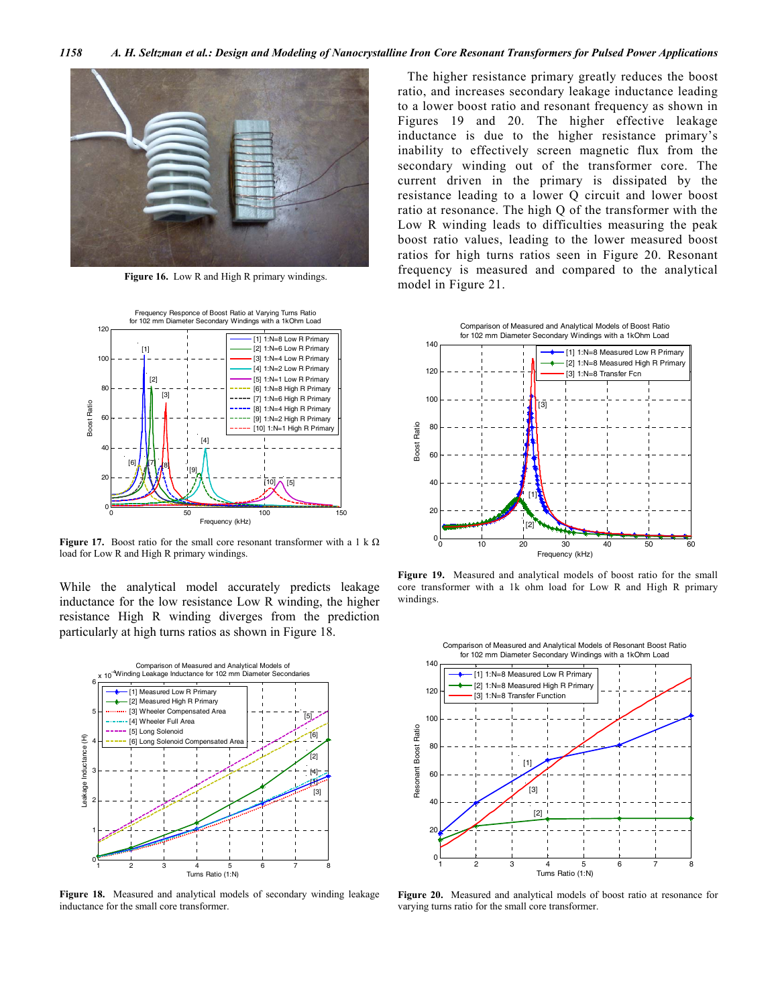

**Figure 16.** Low R and High R primary windings.



**Figure 17.** Boost ratio for the small core resonant transformer with a 1 k  $\Omega$ load for Low R and High R primary windings.

While the analytical model accurately predicts leakage inductance for the low resistance Low R winding, the higher resistance High R winding diverges from the prediction particularly at high turns ratios as shown in Figure 18.



**Figure 18.** Measured and analytical models of secondary winding leakage inductance for the small core transformer.

 The higher resistance primary greatly reduces the boost ratio, and increases secondary leakage inductance leading to a lower boost ratio and resonant frequency as shown in Figures 19 and 20. The higher effective leakage inductance is due to the higher resistance primary's inability to effectively screen magnetic flux from the secondary winding out of the transformer core. The current driven in the primary is dissipated by the resistance leading to a lower Q circuit and lower boost ratio at resonance. The high Q of the transformer with the Low R winding leads to difficulties measuring the peak boost ratio values, leading to the lower measured boost ratios for high turns ratios seen in Figure 20. Resonant frequency is measured and compared to the analytical model in Figure 21.



**Figure 19.** Measured and analytical models of boost ratio for the small core transformer with a 1k ohm load for Low R and High R primary windings.



**Figure 20.** Measured and analytical models of boost ratio at resonance for varying turns ratio for the small core transformer.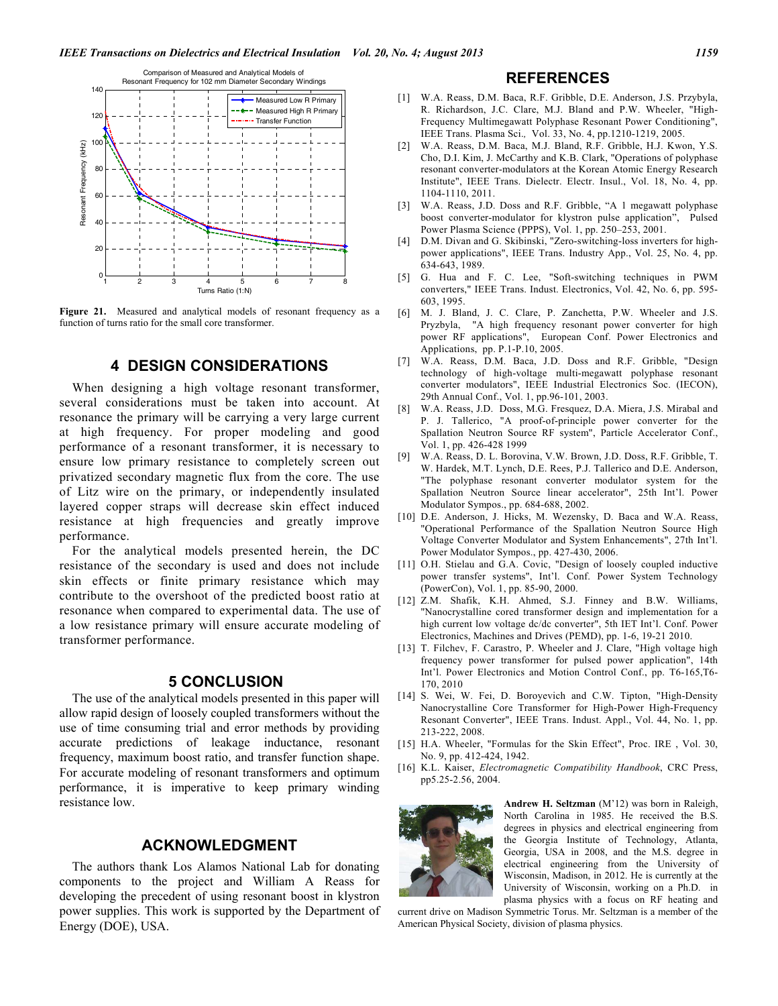

**Figure 21.** Measured and analytical models of resonant frequency as a function of turns ratio for the small core transformer.

## **4 DESIGN CONSIDERATIONS**

When designing a high voltage resonant transformer, several considerations must be taken into account. At resonance the primary will be carrying a very large current at high frequency. For proper modeling and good performance of a resonant transformer, it is necessary to ensure low primary resistance to completely screen out privatized secondary magnetic flux from the core. The use of Litz wire on the primary, or independently insulated layered copper straps will decrease skin effect induced resistance at high frequencies and greatly improve performance.

For the analytical models presented herein, the DC resistance of the secondary is used and does not include skin effects or finite primary resistance which may contribute to the overshoot of the predicted boost ratio at resonance when compared to experimental data. The use of a low resistance primary will ensure accurate modeling of transformer performance.

## **5 CONCLUSION**

The use of the analytical models presented in this paper will allow rapid design of loosely coupled transformers without the use of time consuming trial and error methods by providing accurate predictions of leakage inductance, resonant frequency, maximum boost ratio, and transfer function shape. For accurate modeling of resonant transformers and optimum performance, it is imperative to keep primary winding resistance low.

# **ACKNOWLEDGMENT**

The authors thank Los Alamos National Lab for donating components to the project and William A Reass for developing the precedent of using resonant boost in klystron power supplies. This work is supported by the Department of Energy (DOE), USA.

## **REFERENCES**

- [1] W.A. Reass, D.M. Baca, R.F. Gribble, D.E. Anderson, J.S. Przybyla, R. Richardson, J.C. Clare, M.J. Bland and P.W. Wheeler, "High-Frequency Multimegawatt Polyphase Resonant Power Conditioning", IEEE Trans. Plasma Sci.*,* Vol. 33, No. 4, pp.1210-1219, 2005.
- [2] W.A. Reass, D.M. Baca, M.J. Bland, R.F. Gribble, H.J. Kwon, Y.S. Cho, D.I. Kim, J. McCarthy and K.B. Clark, "Operations of polyphase resonant converter-modulators at the Korean Atomic Energy Research Institute", IEEE Trans. Dielectr. Electr. Insul., Vol. 18, No. 4, pp. 1104-1110, 2011.
- [3] W.A. Reass, J.D. Doss and R.F. Gribble, "A 1 megawatt polyphase boost converter-modulator for klystron pulse application", Pulsed Power Plasma Science (PPPS), Vol. 1, pp. 250–253, 2001.
- [4] D.M. Divan and G. Skibinski, "Zero-switching-loss inverters for highpower applications", IEEE Trans. Industry App., Vol. 25, No. 4, pp. 634-643, 1989.
- [5] G. Hua and F. C. Lee, "Soft-switching techniques in PWM converters," IEEE Trans. Indust. Electronics, Vol. 42, No. 6, pp. 595- 603, 1995.
- [6] M. J. Bland, J. C. Clare, P. Zanchetta, P.W. Wheeler and J.S. Pryzbyla, "A high frequency resonant power converter for high power RF applications", European Conf. Power Electronics and Applications, pp. P.1-P.10, 2005.
- [7] W.A. Reass, D.M. Baca, J.D. Doss and R.F. Gribble, "Design technology of high-voltage multi-megawatt polyphase resonant converter modulators", IEEE Industrial Electronics Soc. (IECON), 29th Annual Conf., Vol. 1, pp.96-101, 2003.
- [8] W.A. Reass, J.D. Doss, M.G. Fresquez, D.A. Miera, J.S. Mirabal and P. J. Tallerico, "A proof-of-principle power converter for the Spallation Neutron Source RF system", Particle Accelerator Conf., Vol. 1, pp. 426-428 1999
- [9] W.A. Reass, D. L. Borovina, V.W. Brown, J.D. Doss, R.F. Gribble, T. W. Hardek, M.T. Lynch, D.E. Rees, P.J. Tallerico and D.E. Anderson, "The polyphase resonant converter modulator system for the Spallation Neutron Source linear accelerator", 25th Int'l. Power Modulator Sympos., pp. 684-688, 2002.
- [10] D.E. Anderson, J. Hicks, M. Wezensky, D. Baca and W.A. Reass, "Operational Performance of the Spallation Neutron Source High Voltage Converter Modulator and System Enhancements", 27th Int'l. Power Modulator Sympos., pp. 427-430, 2006.
- [11] O.H. Stielau and G.A. Covic, "Design of loosely coupled inductive power transfer systems", Int'l. Conf. Power System Technology (PowerCon), Vol. 1, pp. 85-90, 2000.
- [12] Z.M. Shafik, K.H. Ahmed, S.J. Finney and B.W. Williams, "Nanocrystalline cored transformer design and implementation for a high current low voltage dc/dc converter", 5th IET Int'l. Conf. Power Electronics, Machines and Drives (PEMD), pp. 1-6, 19-21 2010.
- [13] T. Filchev, F. Carastro, P. Wheeler and J. Clare, "High voltage high frequency power transformer for pulsed power application", 14th Int'l. Power Electronics and Motion Control Conf., pp. T6-165,T6- 170, 2010
- [14] S. Wei, W. Fei, D. Boroyevich and C.W. Tipton, "High-Density Nanocrystalline Core Transformer for High-Power High-Frequency Resonant Converter", IEEE Trans. Indust. Appl., Vol. 44, No. 1, pp. 213-222, 2008.
- [15] H.A. Wheeler, "Formulas for the Skin Effect", Proc. IRE, Vol. 30, No. 9, pp. 412-424, 1942.
- [16] K.L. Kaiser, *Electromagnetic Compatibility Handbook*, CRC Press, pp5.25-2.56, 2004.



**Andrew H. Seltzman** (M'12) was born in Raleigh, North Carolina in 1985. He received the B.S. degrees in physics and electrical engineering from the Georgia Institute of Technology, Atlanta, Georgia, USA in 2008, and the M.S. degree in electrical engineering from the University of Wisconsin, Madison, in 2012. He is currently at the University of Wisconsin, working on a Ph.D. in plasma physics with a focus on RF heating and

current drive on Madison Symmetric Torus. Mr. Seltzman is a member of the American Physical Society, division of plasma physics.